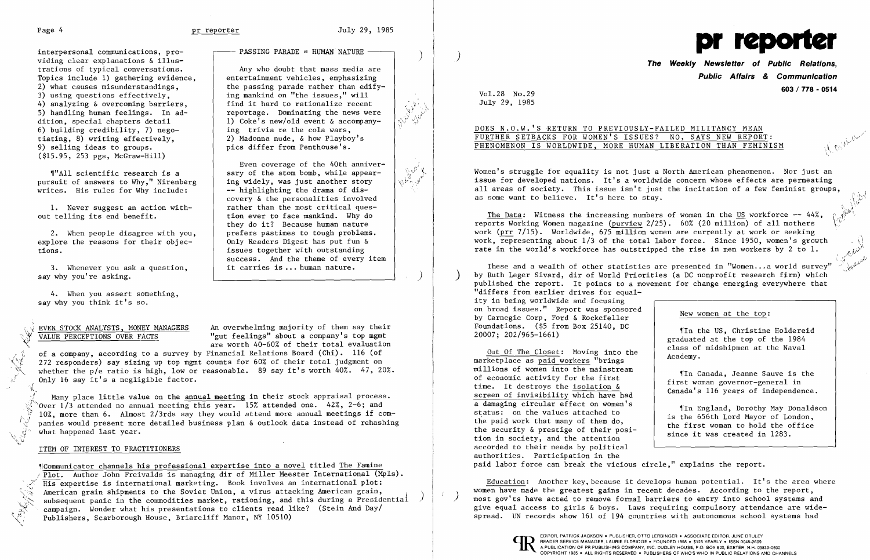,  $\,\mu\mathrm{g}$ 

interpersonal communications, providing clear explanations & illustrations of typical conversations. Topics include 1) gathering evidence, 2) what causes misunderstandings, 3) using questions effectively, 4) analyzing & overcoming barriers, 5) handling human feelings. In addition, special chapters detail 6) building credibility, 7) negotiating, 8) writing effectively, 9) selling ideas to groups. (\$15.95, 253 pgs, McGraw-Hill)

 $\P''$ All scientific research is a pursuit of answers to Why," Nirenberg writes. His rules for Why include:

3. Whenever you ask a question, say why you're asking.

1. Never suggest an action without telling its end benefit.

2. When people disagree with you, explore the reasons for their objections.

4. When you assert something, say why you think it's so.

 $PASSING PARADE = HUMAN NATURE$ 

EVEN STOCK ANALYSTS, MONEY MANAGERS An overwhelming majority of them say their VALUE PERCEPTIONS OVER FACTS "gut feelings" about a company's top mgmt are worth 40-60% of their total evaluation

Any who doubt that mass media are entertainment vehicles, emphasizing the passing parade rather than edifying mankind on "the issues," will find it hard to rationalize recent reportage. Dominating the news were 1) Coke's new/old event  $\&$  accompanying trivia re the cola wars, 2) Madonna nude, & how Playboy's pics differ from Penthouse's.

of a company, according to a survey by Financial Relations Board (Chi). 116 (of  $\sqrt{3}$  , 272 recognology cay giging up top momt counts for 60% of their total judgment on 272 responders) say sizing up top mgmt counts for 60% of their total judgment on whether the p/e ratio is high, low or reasonable. 89 say it's worth 40%. 47, 20%. Only 16 say it's a negligible factor.

Many place little value on the annual meeting in their stock appraisal process.  $\sqrt[3]{\ }$  Over 1/3 attended no annual meeting this year. 15% attended one. 42%, 2-6; and  $\frac{1}{2}$  10%, more than 6. Almost 2/3rds say they would attend more annual meetings if companies would present more detailed business plan & outlook data instead of rehashing what happened last year.

## ITEM OF INTEREST TO PRACTITIONERS

,rCommunicator channels his professional expertise into a novel titled The Famine Plot. Author John Freivalds is managing dir of Miller Meester International (Mpls). His expertise is international marketing. Book involves an international plot:<br>American grain shipments to the Soviet Union, a virus attacking American grain,  $\lesssim$  : American grain shipments to the Soviet Union, a virus attacking American grain,  $\lesssim$  subsequent panic in the commodities market, rationing, and this during a Presidential  $\,$ \,~,~~~ campaign. Wonder what his presentations to clients read like? (Stein And Day/ Publishers, Scarborough House, Briarcliff Manor, NY 10510)

Even coverage of the 40th anniversary of the atom bomb, while appearing widely, was just another story -- highlighting the drama of discovery & the personalities involved rather than the most critical question ever to face mankind. Why do they do it? Because human nature prefers pastimes to tough problems. Only Readers Digest has put fun & issues together with outstanding success. And the theme of every item it carries is ... human nature.

# **Public Affairs** *&* **Communication 603 / 778 - 0514**<br>Vol. 28 No. 29

)

Women's struggle for equality is not just a North American phenomenon. Nor just an issue for developed nations. It's a worldwide concern whose effects are permeating all areas of society. This issue isn't just the incitation of a few feminist groups,<br>as some want to believe. It's here to stay.

The Data: Witness the increasing numbers of women in the US workforce  $-44\%$ , reports Working Women magazine (purview 2/25). 60% (20 million) of all mothers \L' work (prr 7/15). Worldwide, 675 million women are currently at work or seeking work, representing about  $1/3$  of the total labor force. Since 1950, women's growth rate in the world's workforce has outstripped the rise in men workers by 2 to 1.

These and a wealth of other statistics are presented in "Women... a world survey" by Ruth Leger Sivard, dir of World Priorities (a DC nonprofit research firm) which published the report. It points to a movement for change emerging everywhere that "differs from earlier drives for equality in being worldwide and focusing on broad issues." Report was sponsored by Carnegie Corp, Ford & Rockefeller Foundations. (\$5 from Box 25140, DC 20007; 202/965-1661) New women at the top: IIn the US, Christine Holdereid

,I

Out Of The Closet: Moving into the marketplace as paid workers "brings millions of women into the mainstream of economic activity for the first time. It destroys the isolation & screen of invisibility which have had a damaging circular effect on women's status: on the values attached to the paid work that many of them do, the security & prestige of their position in society, and the attention accorded to their needs by political authorities. Participation in the paid labor force can break the vicious circle," explains the report.



 $\mathcal{M}=\mathcal{M}$ 

 $\mathcal{L}^{\{G\}}$ 

July 29, 1985

## DOES N.O.W.'S RETURN TO PREVIOUSLY-FAILED MILITANCY MEAN FURTHER SETBACKS FOR WOMEN'S ISSUES? NO, SAYS NEW REPORT: PHENOMENON IS WORLDWIDE, MORE HUMAN LIBERATION THAN FEMINISM

~, '. ..,t).)",:1J

graduated at the top of the 1984 class of midshipmen at the Naval Academy.

'[In Canada, Jeanne Sauve is the first woman governor-general in Canada's 116 years of independence.

.In England, Dorothy May Donaldson is the 656th Lord Mayor of London, the first woman to hold the office since it was created in 1283.

Education: Another key, because it develops human potential. It's the area where women have made the greatest gains in recent decades. According to the report,<br>most gov'ts have acted to remove formal barriers to entry into school systems and give equal access to girls & boys. Laws requiring compulsory attendance are widespread. UN records show 161 of 194 countries with autonomous school systems had